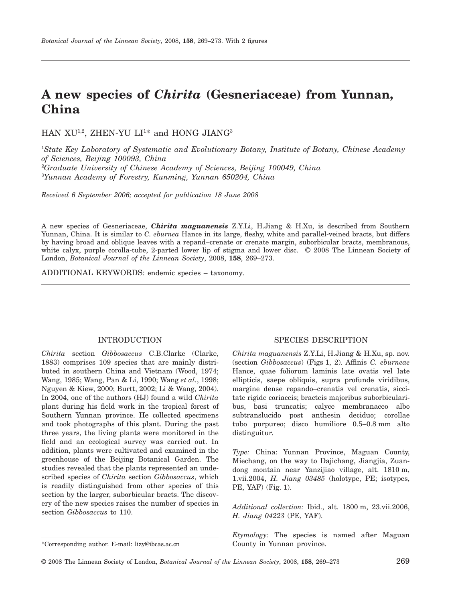# **A new species of** *Chirita* **(Gesneriaceae) from Yunnan, China**

 $HAN XU^{1,2}$ , ZHEN-YU  $LI^{1*}$  and HONG JIANG<sup>3</sup>

 *State Key Laboratory of Systematic and Evolutionary Botany, Institute of Botany, Chinese Academy of Sciences, Beijing 100093, China Graduate University of Chinese Academy of Sciences, Beijing 100049, China Yunnan Academy of Forestry, Kunming, Yunnan 650204, China*

*Received 6 September 2006; accepted for publication 18 June 2008*

A new species of Gesneriaceae, *Chirita maguanensis* Z.Y.Li, H.Jiang & H.Xu, is described from Southern Yunnan, China. It is similar to *C. eburnea* Hance in its large, fleshy, white and parallel-veined bracts, but differs by having broad and oblique leaves with a repand–crenate or crenate margin, suborbicular bracts, membranous, white calyx, purple corolla-tube, 2-parted lower lip of stigma and lower disc. © 2008 The Linnean Society of London, *Botanical Journal of the Linnean Society*, 2008, **158**, 269–273.

ADDITIONAL KEYWORDS: endemic species – taxonomy.

# INTRODUCTION

*Chirita* section *Gibbosaccus* C.B.Clarke (Clarke, 1883) comprises 109 species that are mainly distributed in southern China and Vietnam (Wood, 1974; Wang, 1985; Wang, Pan & Li, 1990; Wang *et al.*, 1998; Nguyen & Kiew, 2000; Burtt, 2002; Li & Wang, 2004). In 2004, one of the authors (HJ) found a wild *Chirita* plant during his field work in the tropical forest of Southern Yunnan province. He collected specimens and took photographs of this plant. During the past three years, the living plants were monitored in the field and an ecological survey was carried out. In addition, plants were cultivated and examined in the greenhouse of the Beijing Botanical Garden. The studies revealed that the plants represented an undescribed species of *Chirita* section *Gibbosaccus*, which is readily distinguished from other species of this section by the larger, suborbicular bracts. The discovery of the new species raises the number of species in section *Gibbosaccus* to 110.

## SPECIES DESCRIPTION

*Chirita maguanensis* Z.Y.Li, H.Jiang & H.Xu, sp. nov. (section *Gibbosaccus*) (Figs 1, 2). Affinis *C. eburneae* Hance, quae foliorum laminis late ovatis vel late ellipticis, saepe obliquis, supra profunde viridibus, margine dense repando–crenatis vel crenatis, siccitate rigide coriaceis; bracteis majoribus suborbicularibus, basi truncatis; calyce membranaceo albo subtranslucido post anthesin deciduo; corollae tubo purpureo; disco humiliore 0.5–0.8 mm alto distinguitur.

*Type:* China: Yunnan Province, Maguan County, Miechang, on the way to Dajichang, Jiangjia, Zuandong montain near Yanzijiao village, alt. 1810 m, 1.vii.2004, *H. Jiang 03485* (holotype, PE; isotypes, PE, YAF) (Fig. 1).

*Additional collection:* Ibid., alt. 1800 m, 23.vii.2006, *H. Jiang 04223* (PE, YAF).

*Etymology:* The species is named after Maguan

<sup>\*</sup>Corresponding author. E-mail: [lizy@ibcas.ac.cn](mailto:lizy@ibcas.ac.cn) County in Yunnan province.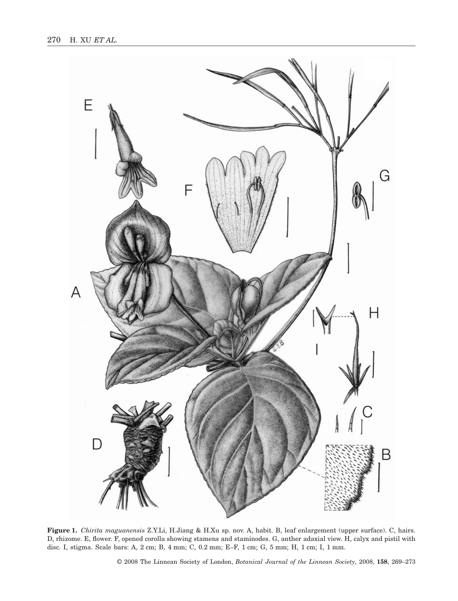

**Figure 1.** *Chirita maguanensis* Z.Y.Li, H.Jiang & H.Xu sp. nov. A, habit. B, leaf enlargement (upper surface). C, hairs. D, rhizome. E, flower. F, opened corolla showing stamens and staminodes. G, anther adaxial view. H, calyx and pistil with disc. I, stigma. Scale bars: A, 2 cm; B, 4 mm; C, 0.2 mm; E–F, 1 cm; G, 5 mm; H, 1 cm; I, 1 mm.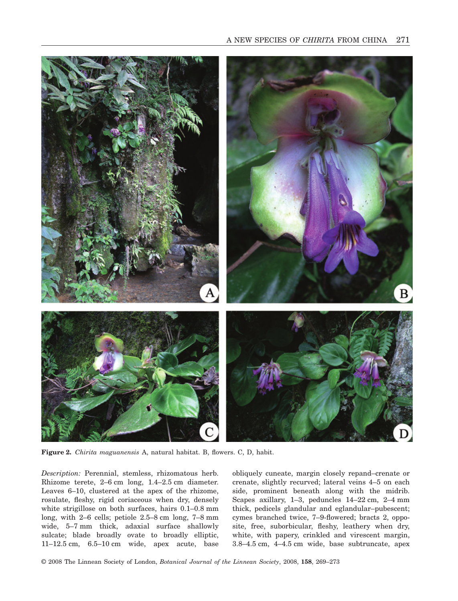

**Figure 2.** *Chirita maguanensis* A, natural habitat. B, flowers. C, D, habit.

*Description:* Perennial, stemless, rhizomatous herb. Rhizome terete, 2–6 cm long, 1.4–2.5 cm diameter. Leaves 6–10, clustered at the apex of the rhizome, rosulate, fleshy, rigid coriaceous when dry, densely white strigillose on both surfaces, hairs 0.1–0.8 mm long, with 2–6 cells; petiole 2.5–8 cm long, 7–8 mm wide, 5–7 mm thick, adaxial surface shallowly sulcate; blade broadly ovate to broadly elliptic, 11–12.5 cm, 6.5–10 cm wide, apex acute, base

obliquely cuneate, margin closely repand–crenate or crenate, slightly recurved; lateral veins 4–5 on each side, prominent beneath along with the midrib. Scapes axillary, 1–3, peduncles 14–22 cm, 2–4 mm thick, pedicels glandular and eglandular–pubescent; cymes branched twice, 7–9-flowered; bracts 2, opposite, free, suborbicular, fleshy, leathery when dry, white, with papery, crinkled and virescent margin, 3.8–4.5 cm, 4–4.5 cm wide, base subtruncate, apex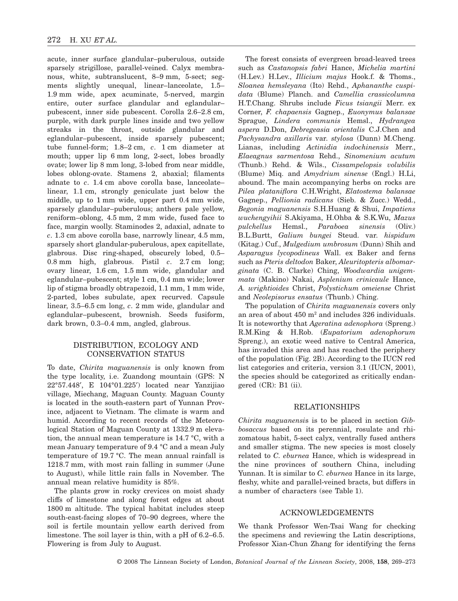acute, inner surface glandular–puberulous, outside sparsely strigillose, parallel-veined. Calyx membranous, white, subtranslucent, 8–9 mm, 5-sect; segments slightly unequal, linear–lanceolate, 1.5– 1.9 mm wide, apex acuminate, 5-nerved, margin entire, outer surface glandular and eglandular– pubescent, inner side pubescent. Corolla 2.6–2.8 cm, purple, with dark purple lines inside and two yellow streaks in the throat, outside glandular and eglandular–pubescent, inside sparsely pubescent; tube funnel-form; 1.8–2 cm, *c*. 1 cm diameter at mouth; upper lip 6 mm long, 2-sect, lobes broadly ovate; lower lip 8 mm long, 3-lobed from near middle, lobes oblong-ovate. Stamens 2, abaxial; filaments adnate to *c*. 1.4 cm above corolla base, lanceolate– linear, 1.1 cm, strongly geniculate just below the middle, up to 1 mm wide, upper part 0.4 mm wide, sparsely glandular–puberulous; anthers pale yellow, reniform–oblong, 4.5 mm, 2 mm wide, fused face to face, margin woolly. Staminodes 2, adaxial, adnate to *c*. 1.3 cm above corolla base, narrowly linear, 4.5 mm, sparsely short glandular-puberulous, apex capitellate, glabrous. Disc ring-shaped, obscurely lobed, 0.5– 0.8 mm high, glabrous. Pistil *c*. 2.7 cm long; ovary linear, 1.6 cm, 1.5 mm wide, glandular and eglandular–pubescent; style 1 cm, 0.4 mm wide; lower lip of stigma broadly obtrapezoid, 1.1 mm, 1 mm wide, 2-parted, lobes subulate, apex recurved. Capsule linear, 3.5–6.5 cm long, *c*. 2 mm wide, glandular and eglandular–pubescent, brownish. Seeds fusiform, dark brown, 0.3–0.4 mm, angled, glabrous.

## DISTRIBUTION, ECOLOGY AND CONSERVATION STATUS

To date, *Chirita maguanensis* is only known from the type locality, i.e. Zuandong mountain (GPS: N 22°57.448′, E 104°01.225′) located near Yanzijiao village, Miechang, Maguan County. Maguan County is located in the south-eastern part of Yunnan Province, adjacent to Vietnam. The climate is warm and humid. According to recent records of the Meteorological Station of Maguan County at 1332.9 m elevation, the annual mean temperature is 14.7 °C, with a mean January temperature of 9.4 °C and a mean July temperature of 19.7 °C. The mean annual rainfall is 1218.7 mm, with most rain falling in summer (June to August), while little rain falls in November. The annual mean relative humidity is 85%.

The plants grow in rocky crevices on moist shady cliffs of limestone and along forest edges at about 1800 m altitude. The typical habitat includes steep south-east-facing slopes of 70–90 degrees, where the soil is fertile mountain yellow earth derived from limestone. The soil layer is thin, with a pH of 6.2–6.5. Flowering is from July to August.

The forest consists of evergreen broad-leaved trees such as *Castanopsis fabri* Hance, *Michelia martini* (H.Lev.) H.Lev., *Illicium majus* Hook.f. & Thoms., *Sloanea hemsleyana* (Ito) Rehd., *Aphananthe cuspidata* (Blume) Planch. and *Camellia crassicolumna* H.T.Chang. Shrubs include *Ficus tsiangii* Merr. ex Corner, *F. chapaensis* Gagnep., *Euonymus balansae* Sprague, *Lindera communis* Hemsl., *Hydrangea aspera* D.Don, *Debregeasia orientalis* C.J.Chen and *Pachysandra axillaris* var. *stylosa* (Dunn) M.Cheng. Lianas, including *Actinidia indochinensis* Merr., *Elaeagnus sarmentosa* Rehd., *Sinomenium acutum* (Thunb.) Rehd. & Wils., *Cissampelopsis volubilis* (Blume) Miq. and *Amydrium sinense* (Engl.) H.Li, abound. The main accompanying herbs on rocks are *Pilea plataniflora* C.H.Wright, *Elatostema balansae* Gagnep., *Pellionia radicans* (Sieb. & Zucc.) Wedd., *Begonia maguanensis* S.H.Huang & Shui, *Impatiens wuchengyihii* S.Akiyama, H.Ohba & S.K.Wu, *Mazus pulchellus* Hemsl., *Paraboea sinensis* (Oliv.) B.L.Burtt, *Galium bungei* Steud. var. *hispidum* (Kitag.) Cuf., *Mulgedium umbrosum* (Dunn) Shih and *Asparagus lycopodineus* Wall. ex Baker and ferns such as *Pteris deltodon* Baker, *Aleuritopteris albomarginata* (C. B. Clarke) Ching, *Woodwardia unigemmata* (Makino) Nakai, *Asplenium crinicaule* Hance, *A. wrightioides* Christ, *Polystichum omeiense* Christ and *Neolepisorus ensatus* (Thunb.) Ching.

The population of *Chirita maguanensis* covers only an area of about  $450 \text{ m}^2$  and includes 326 individuals. It is noteworthy that *Ageratina adenophora* (Spreng.) R.M.King & H.Rob. (*Eupatorium adenophorum* Spreng.), an exotic weed native to Central America, has invaded this area and has reached the periphery of the population (Fig. 2B). According to the IUCN red list categories and criteria, version 3.1 (IUCN, 2001), the species should be categorized as critically endangered (CR): B1 (ii).

#### RELATIONSHIPS

*Chirita maguanensi*s is to be placed in section *Gibbosaccus* based on its perennial, rosulate and rhizomatous habit, 5-sect calyx, ventrally fused anthers and smaller stigma. The new species is most closely related to *C. eburnea* Hance, which is widespread in the nine provinces of southern China, including Yunnan. It is similar to *C. eburnea* Hance in its large, fleshy, white and parallel-veined bracts, but differs in a number of characters (see Table 1).

### ACKNOWLEDGEMENTS

We thank Professor Wen-Tsai Wang for checking the specimens and reviewing the Latin descriptions, Professor Xian-Chun Zhang for identifying the ferns